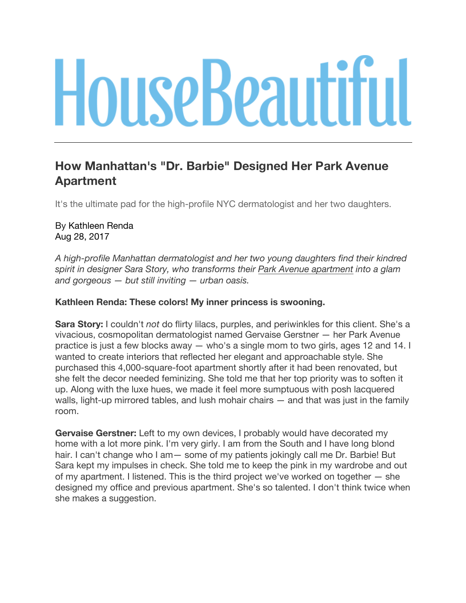# **HouseBeautiful**

# **How Manhattan's "Dr. Barbie" Designed Her Park Avenue Apartment**

It's the ultimate pad for the high-profile NYC dermatologist and her two daughters.

# By Kathleen Renda Aug 28, 2017

*A high-profile Manhattan dermatologist and her two young daughters find their kindred spirit in designer Sara Story, who transforms their Park Avenue apartment into a glam and gorgeous — but still inviting — urban oasis.*

# **Kathleen Renda: These colors! My inner princess is swooning.**

**Sara Story:** I couldn't *not* do flirty lilacs, purples, and periwinkles for this client. She's a vivacious, cosmopolitan dermatologist named Gervaise Gerstner — her Park Avenue practice is just a few blocks away — who's a single mom to two girls, ages 12 and 14. I wanted to create interiors that reflected her elegant and approachable style. She purchased this 4,000-square-foot apartment shortly after it had been renovated, but she felt the decor needed feminizing. She told me that her top priority was to soften it up. Along with the luxe hues, we made it feel more sumptuous with posh lacquered walls, light-up mirrored tables, and lush mohair chairs — and that was just in the family room.

**Gervaise Gerstner:** Left to my own devices, I probably would have decorated my home with a lot more pink. I'm very girly. I am from the South and I have long blond hair. I can't change who I am — some of my patients jokingly call me Dr. Barbie! But Sara kept my impulses in check. She told me to keep the pink in my wardrobe and out of my apartment. I listened. This is the third project we've worked on together — she designed my office and previous apartment. She's so talented. I don't think twice when she makes a suggestion.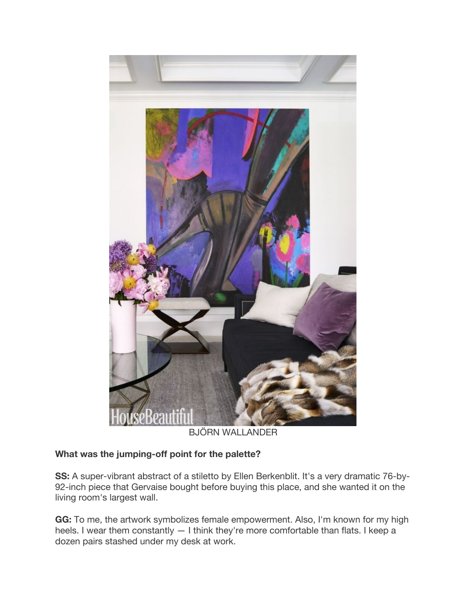

BJÖRN WALLANDER

# **What was the jumping-off point for the palette?**

**SS:** A super-vibrant abstract of a stiletto by Ellen Berkenblit. It's a very dramatic 76-by-92-inch piece that Gervaise bought before buying this place, and she wanted it on the living room's largest wall.

**GG:** To me, the artwork symbolizes female empowerment. Also, I'm known for my high heels. I wear them constantly — I think they're more comfortable than flats. I keep a dozen pairs stashed under my desk at work.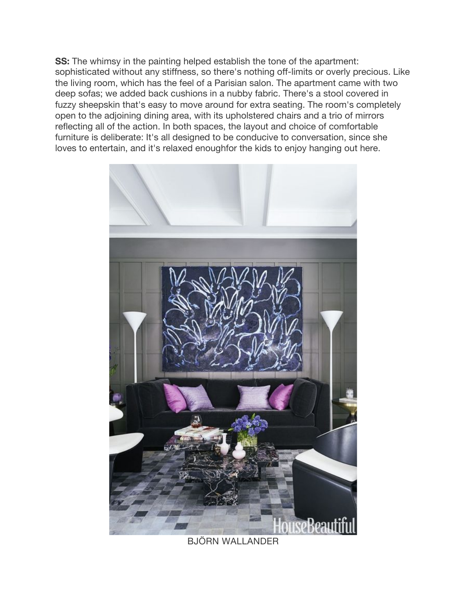**SS:** The whimsy in the painting helped establish the tone of the apartment: sophisticated without any stiffness, so there's nothing off-limits or overly precious. Like the living room, which has the feel of a Parisian salon. The apartment came with two deep sofas; we added back cushions in a nubby fabric. There's a stool covered in fuzzy sheepskin that's easy to move around for extra seating. The room's completely open to the adjoining dining area, with its upholstered chairs and a trio of mirrors reflecting all of the action. In both spaces, the layout and choice of comfortable furniture is deliberate: It's all designed to be conducive to conversation, since she loves to entertain, and it's relaxed enoughfor the kids to enjoy hanging out here.



BJÖRN WALLANDER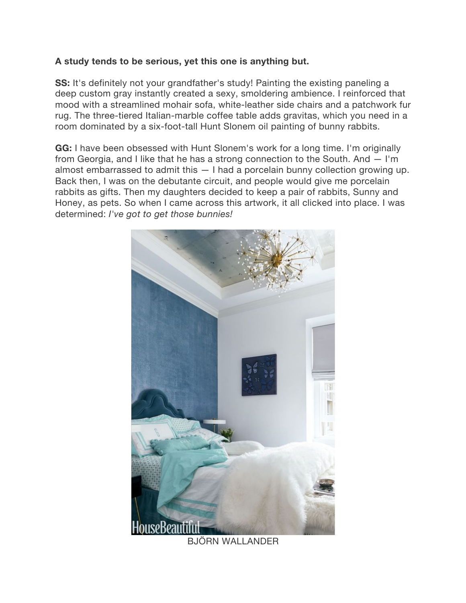# **A study tends to be serious, yet this one is anything but.**

**SS:** It's definitely not your grandfather's study! Painting the existing paneling a deep custom gray instantly created a sexy, smoldering ambience. I reinforced that mood with a streamlined mohair sofa, white-leather side chairs and a patchwork fur rug. The three-tiered Italian-marble coffee table adds gravitas, which you need in a room dominated by a six-foot-tall Hunt Slonem oil painting of bunny rabbits.

**GG:** I have been obsessed with Hunt Slonem's work for a long time. I'm originally from Georgia, and I like that he has a strong connection to the South. And — I'm almost embarrassed to admit this — I had a porcelain bunny collection growing up. Back then, I was on the debutante circuit, and people would give me porcelain rabbits as gifts. Then my daughters decided to keep a pair of rabbits, Sunny and Honey, as pets. So when I came across this artwork, it all clicked into place. I was determined: *I've got to get those bunnies!*



BJÖRN WALLANDER